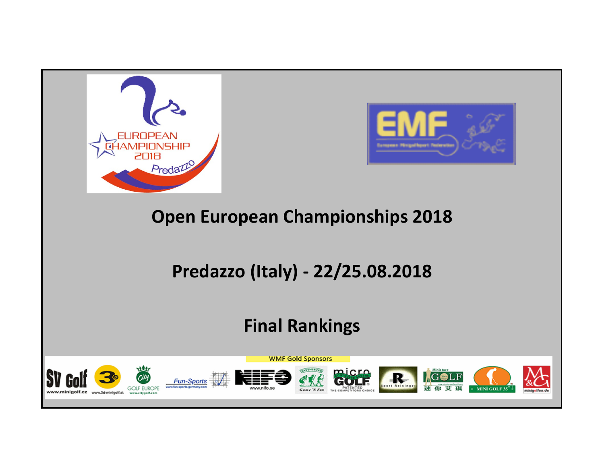



## Open European Championships 2018

# Predazzo (Italy) - 22/25.08.2018

## Final Rankings

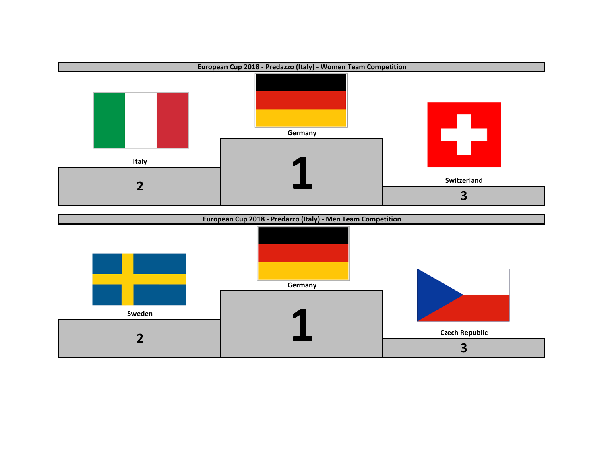

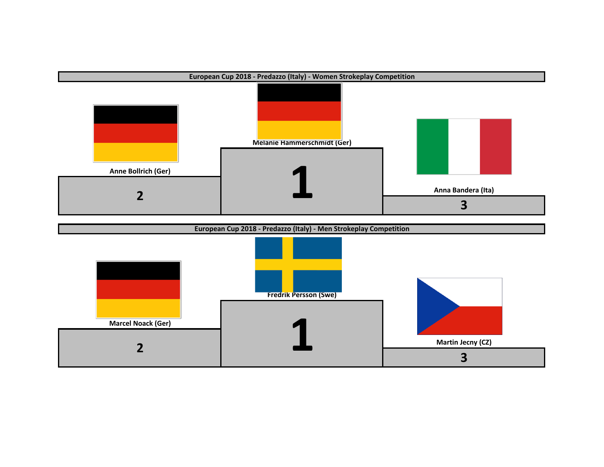

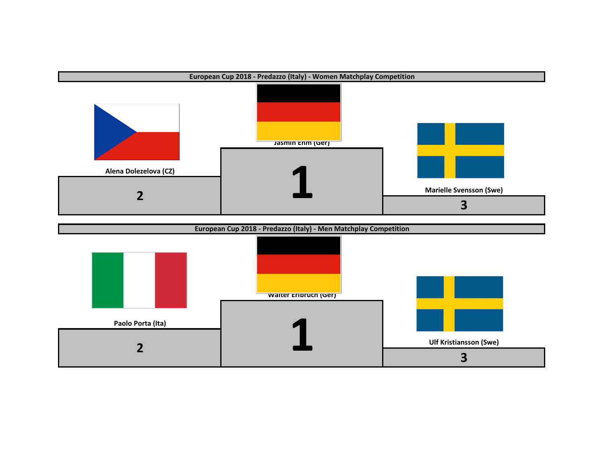

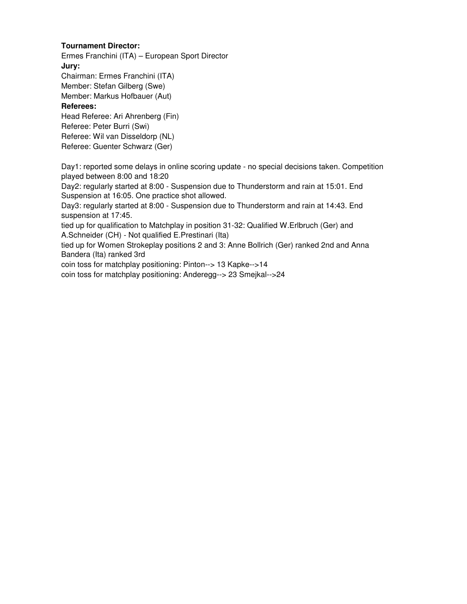## **Tournament Director:**

Ermes Franchini (ITA) – European Sport Director **Jury:** Chairman: Ermes Franchini (ITA) Member: Stefan Gilberg (Swe)

Member: Markus Hofbauer (Aut)

### **Referees:**

Head Referee: Ari Ahrenberg (Fin) Referee: Peter Burri (Swi) Referee: Wil van Disseldorp (NL) Referee: Guenter Schwarz (Ger)

Day1: reported some delays in online scoring update - no special decisions taken. Competition played between 8:00 and 18:20

Day2: regularly started at 8:00 - Suspension due to Thunderstorm and rain at 15:01. End Suspension at 16:05. One practice shot allowed.

Day3: regularly started at 8:00 - Suspension due to Thunderstorm and rain at 14:43. End suspension at 17:45.

tied up for qualification to Matchplay in position 31-32: Qualified W.Erlbruch (Ger) and A.Schneider (CH) - Not qualified E.Prestinari (Ita)

tied up for Women Strokeplay positions 2 and 3: Anne Bollrich (Ger) ranked 2nd and Anna Bandera (Ita) ranked 3rd

coin toss for matchplay positioning: Pinton--> 13 Kapke-->14

coin toss for matchplay positioning: Anderegg--> 23 Smejkal-->24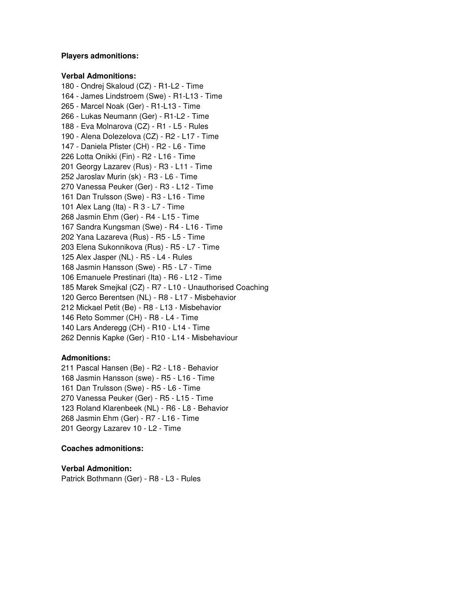#### **Players admonitions:**

#### **Verbal Admonitions:**

180 - Ondrej Skaloud (CZ) - R1-L2 - Time 164 - James Lindstroem (Swe) - R1-L13 - Time 265 - Marcel Noak (Ger) - R1-L13 - Time 266 - Lukas Neumann (Ger) - R1-L2 - Time 188 - Eva Molnarova (CZ) - R1 - L5 - Rules 190 - Alena Dolezelova (CZ) - R2 - L17 - Time 147 - Daniela Pfister (CH) - R2 - L6 - Time 226 Lotta Onikki (Fin) - R2 - L16 - Time 201 Georgy Lazarev (Rus) - R3 - L11 - Time 252 Jaroslav Murin (sk) - R3 - L6 - Time 270 Vanessa Peuker (Ger) - R3 - L12 - Time 161 Dan Trulsson (Swe) - R3 - L16 - Time 101 Alex Lang (Ita) - R 3 - L7 - Time 268 Jasmin Ehm (Ger) - R4 - L15 - Time 167 Sandra Kungsman (Swe) - R4 - L16 - Time 202 Yana Lazareva (Rus) - R5 - L5 - Time 203 Elena Sukonnikova (Rus) - R5 - L7 - Time 125 Alex Jasper (NL) - R5 - L4 - Rules 168 Jasmin Hansson (Swe) - R5 - L7 - Time 106 Emanuele Prestinari (Ita) - R6 - L12 - Time 185 Marek Smejkal (CZ) - R7 - L10 - Unauthorised Coaching 120 Gerco Berentsen (NL) - R8 - L17 - Misbehavior 212 Mickael Petit (Be) - R8 - L13 - Misbehavior 146 Reto Sommer (CH) - R8 - L4 - Time 140 Lars Anderegg (CH) - R10 - L14 - Time 262 Dennis Kapke (Ger) - R10 - L14 - Misbehaviour

## **Admonitions:**

211 Pascal Hansen (Be) - R2 - L18 - Behavior 168 Jasmin Hansson (swe) - R5 - L16 - Time 161 Dan Trulsson (Swe) - R5 - L6 - Time 270 Vanessa Peuker (Ger) - R5 - L15 - Time 123 Roland Klarenbeek (NL) - R6 - L8 - Behavior 268 Jasmin Ehm (Ger) - R7 - L16 - Time 201 Georgy Lazarev 10 - L2 - Time

## **Coaches admonitions:**

**Verbal Admonition:** Patrick Bothmann (Ger) - R8 - L3 - Rules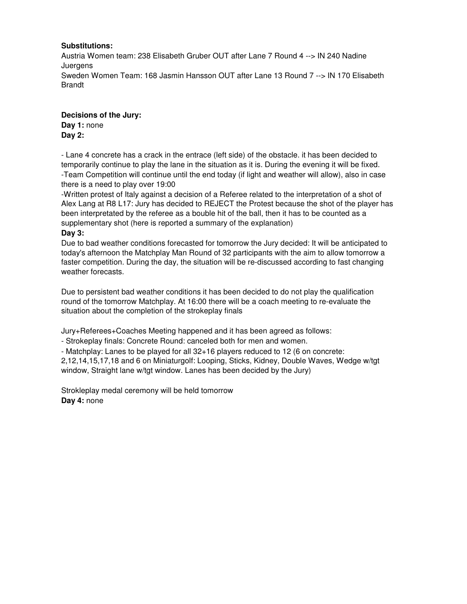## **Substitutions:**

Austria Women team: 238 Elisabeth Gruber OUT after Lane 7 Round 4 --> IN 240 Nadine Juergens Sweden Women Team: 168 Jasmin Hansson OUT after Lane 13 Round 7 --> IN 170 Elisabeth Brandt

**Decisions of the Jury: Day 1:** none **Day 2:**

- Lane 4 concrete has a crack in the entrace (left side) of the obstacle. it has been decided to temporarily continue to play the lane in the situation as it is. During the evening it will be fixed. -Team Competition will continue until the end today (if light and weather will allow), also in case there is a need to play over 19:00

-Written protest of Italy against a decision of a Referee related to the interpretation of a shot of Alex Lang at R8 L17: Jury has decided to REJECT the Protest because the shot of the player has been interpretated by the referee as a bouble hit of the ball, then it has to be counted as a supplementary shot (here is reported a summary of the explanation)

## **Day 3:**

Due to bad weather conditions forecasted for tomorrow the Jury decided: It will be anticipated to today's afternoon the Matchplay Man Round of 32 participants with the aim to allow tomorrow a faster competition. During the day, the situation will be re-discussed according to fast changing weather forecasts.

Due to persistent bad weather conditions it has been decided to do not play the qualification round of the tomorrow Matchplay. At 16:00 there will be a coach meeting to re-evaluate the situation about the completion of the strokeplay finals

Jury+Referees+Coaches Meeting happened and it has been agreed as follows:

- Strokeplay finals: Concrete Round: canceled both for men and women.

- Matchplay: Lanes to be played for all 32+16 players reduced to 12 (6 on concrete:

2,12,14,15,17,18 and 6 on Miniaturgolf: Looping, Sticks, Kidney, Double Waves, Wedge w/tgt window, Straight lane w/tgt window. Lanes has been decided by the Jury)

Strokleplay medal ceremony will be held tomorrow **Day 4:** none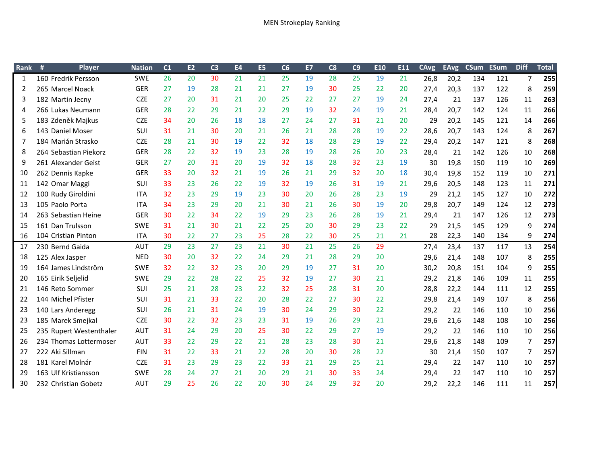| <b>Rank</b>    | #<br>Player             | <b>Nation</b> | C <sub>1</sub> | E2 | C <sub>3</sub> | <b>E4</b> | E <sub>5</sub> | C6 | E7 | C8 | C9 | E10 | E11 | <b>CAvg</b> | <b>EAvg</b> | <b>CSum</b> | <b>ESum</b> | <b>Diff</b> | <b>Total</b> |
|----------------|-------------------------|---------------|----------------|----|----------------|-----------|----------------|----|----|----|----|-----|-----|-------------|-------------|-------------|-------------|-------------|--------------|
| 1              | 160 Fredrik Persson     | <b>SWE</b>    | 26             | 20 | 30             | 21        | 21             | 25 | 19 | 28 | 25 | 19  | 21  | 26,8        | 20,2        | 134         | 121         | 7           | 255          |
| $\overline{2}$ | 265 Marcel Noack        | <b>GER</b>    | 27             | 19 | 28             | 21        | 21             | 27 | 19 | 30 | 25 | 22  | 20  | 27,4        | 20,3        | 137         | 122         | 8           | 259          |
| 3              | 182 Martin Jecny        | <b>CZE</b>    | 27             | 20 | 31             | 21        | 20             | 25 | 22 | 27 | 27 | 19  | 24  | 27,4        | 21          | 137         | 126         | 11          | 263          |
| 4              | 266 Lukas Neumann       | <b>GER</b>    | 28             | 22 | 29             | 21        | 22             | 29 | 19 | 32 | 24 | 19  | 21  | 28,4        | 20,7        | 142         | 124         | 11          | <b>266</b>   |
| 5              | 183 Zdeněk Majkus       | <b>CZE</b>    | 34             | 20 | 26             | 18        | 18             | 27 | 24 | 27 | 31 | 21  | 20  | 29          | 20,2        | 145         | 121         | 14          | <b>266</b>   |
| 6              | 143 Daniel Moser        | SUI           | 31             | 21 | 30             | 20        | 21             | 26 | 21 | 28 | 28 | 19  | 22  | 28,6        | 20,7        | 143         | 124         | 8           | 267          |
| 7              | 184 Marián Strasko      | <b>CZE</b>    | 28             | 21 | 30             | 19        | 22             | 32 | 18 | 28 | 29 | 19  | 22  | 29,4        | 20,2        | 147         | 121         | 8           | 268          |
| 8              | 264 Sebastian Piekorz   | <b>GER</b>    | 28             | 22 | 32             | 19        | 23             | 28 | 19 | 28 | 26 | 20  | 23  | 28,4        | 21          | 142         | 126         | 10          | 268          |
| 9              | 261 Alexander Geist     | <b>GER</b>    | 27             | 20 | 31             | 20        | 19             | 32 | 18 | 28 | 32 | 23  | 19  | 30          | 19,8        | 150         | 119         | 10          | 269          |
| 10             | 262 Dennis Kapke        | <b>GER</b>    | 33             | 20 | 32             | 21        | 19             | 26 | 21 | 29 | 32 | 20  | 18  | 30,4        | 19,8        | 152         | 119         | 10          | 271          |
| 11             | 142 Omar Maggi          | <b>SUI</b>    | 33             | 23 | 26             | 22        | 19             | 32 | 19 | 26 | 31 | 19  | 21  | 29,6        | 20,5        | 148         | 123         | 11          | 271          |
| 12             | 100 Rudy Giroldini      | ITA.          | 32             | 23 | 29             | 19        | 23             | 30 | 20 | 26 | 28 | 23  | 19  | 29          | 21,2        | 145         | 127         | 10          | 272          |
| 13             | 105 Paolo Porta         | <b>ITA</b>    | 34             | 23 | 29             | 20        | 21             | 30 | 21 | 26 | 30 | 19  | 20  | 29,8        | 20,7        | 149         | 124         | 12          | 273          |
| 14             | 263 Sebastian Heine     | <b>GER</b>    | 30             | 22 | 34             | 22        | 19             | 29 | 23 | 26 | 28 | 19  | 21  | 29,4        | 21          | 147         | 126         | 12          | 273          |
| 15             | 161 Dan Trulsson        | <b>SWE</b>    | 31             | 21 | 30             | 21        | 22             | 25 | 20 | 30 | 29 | 23  | 22  | 29          | 21,5        | 145         | 129         | q           | 274          |
| 16             | 104 Cristian Pinton     | <b>ITA</b>    | 30             | 22 | 27             | 23        | 25             | 28 | 22 | 30 | 25 | 21  | 21  | 28          | 22,3        | 140         | 134         | 9           | 274          |
| 17             | 230 Bernd Gaida         | <b>AUT</b>    | 29             | 23 | 27             | 23        | 21             | 30 | 21 | 25 | 26 | 29  |     | 27,4        | 23,4        | 137         | 117         | 13          | 254          |
| 18             | 125 Alex Jasper         | <b>NED</b>    | 30             | 20 | 32             | 22        | 24             | 29 | 21 | 28 | 29 | 20  |     | 29,6        | 21,4        | 148         | 107         | 8           | 255          |
| 19             | 164 James Lindström     | <b>SWE</b>    | 32             | 22 | 32             | 23        | 20             | 29 | 19 | 27 | 31 | 20  |     | 30,2        | 20,8        | 151         | 104         | 9           | 255          |
| 20             | 165 Eirik Seljelid      | <b>SWE</b>    | 29             | 22 | 28             | 22        | 25             | 32 | 19 | 27 | 30 | 21  |     | 29,2        | 21,8        | 146         | 109         | 11          | <b>255</b>   |
| 21             | 146 Reto Sommer         | SUI           | 25             | 21 | 28             | 23        | 22             | 32 | 25 | 28 | 31 | 20  |     | 28,8        | 22,2        | 144         | 111         | 12          | 255          |
| 22             | 144 Michel Pfister      | <b>SUI</b>    | 31             | 21 | 33             | 22        | 20             | 28 | 22 | 27 | 30 | 22  |     | 29,8        | 21,4        | 149         | 107         | 8           | 256          |
| 23             | 140 Lars Anderegg       | <b>SUI</b>    | 26             | 21 | 31             | 24        | 19             | 30 | 24 | 29 | 30 | 22  |     | 29,2        | 22          | 146         | 110         | 10          | 256          |
| 23             | 185 Marek Smejkal       | <b>CZE</b>    | 30             | 22 | 32             | 23        | 23             | 31 | 19 | 26 | 29 | 21  |     | 29,6        | 21,6        | 148         | 108         | 10          | <b>256</b>   |
| 25             | 235 Rupert Westenthaler | <b>AUT</b>    | 31             | 24 | 29             | 20        | 25             | 30 | 22 | 29 | 27 | 19  |     | 29,2        | 22          | 146         | 110         | 10          | 256          |
| 26             | 234 Thomas Lottermoser  | <b>AUT</b>    | 33             | 22 | 29             | 22        | 21             | 28 | 23 | 28 | 30 | 21  |     | 29,6        | 21,8        | 148         | 109         | 7           | 257          |
| 27             | 222 Aki Sillman         | <b>FIN</b>    | 31             | 22 | 33             | 21        | 22             | 28 | 20 | 30 | 28 | 22  |     | 30          | 21,4        | 150         | 107         | 7           | 257          |
| 28             | 181 Karel Molnár        | <b>CZE</b>    | 31             | 23 | 29             | 23        | 22             | 33 | 21 | 29 | 25 | 21  |     | 29,4        | 22          | 147         | 110         | 10          | 257          |
| 29             | 163 Ulf Kristiansson    | <b>SWE</b>    | 28             | 24 | 27             | 21        | 20             | 29 | 21 | 30 | 33 | 24  |     | 29,4        | 22          | 147         | 110         | 10          | 257          |
| 30             | 232 Christian Gobetz    | <b>AUT</b>    | 29             | 25 | 26             | 22        | 20             | 30 | 24 | 29 | 32 | 20  |     | 29,2        | 22,2        | 146         | 111         | 11          | 257          |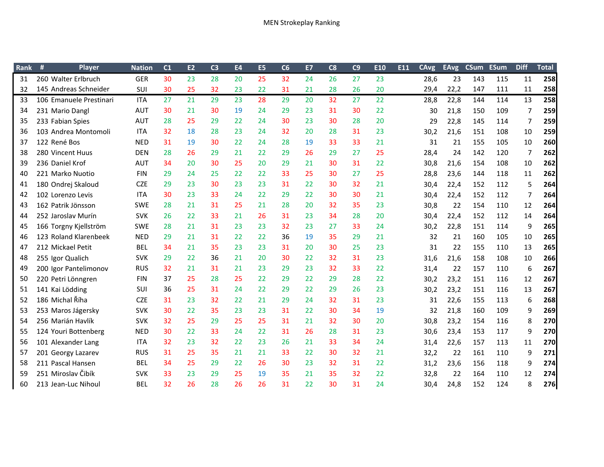| <b>Rank</b> | Player                  | <b>Nation</b> | C <sub>1</sub> | E2 | C <sub>3</sub> | <b>E4</b> | E <sub>5</sub> | C6 | E7 | C8 | C9 | E10 | E11 | <b>CAvg</b> | <b>EAvg</b> | <b>CSum</b> | <b>ESum</b> | <b>Diff</b>    | <b>Total</b> |
|-------------|-------------------------|---------------|----------------|----|----------------|-----------|----------------|----|----|----|----|-----|-----|-------------|-------------|-------------|-------------|----------------|--------------|
| 31          | 260 Walter Erlbruch     | <b>GER</b>    | 30             | 23 | 28             | 20        | 25             | 32 | 24 | 26 | 27 | 23  |     | 28,6        | 23          | 143         | 115         | 11             | 258          |
| 32          | 145 Andreas Schneider   | SUI           | 30             | 25 | 32             | 23        | 22             | 31 | 21 | 28 | 26 | 20  |     | 29,4        | 22,2        | 147         | 111         | 11             | 258          |
| 33          | 106 Emanuele Prestinari | <b>ITA</b>    | 27             | 21 | 29             | 23        | 28             | 29 | 20 | 32 | 27 | 22  |     | 28,8        | 22,8        | 144         | 114         | 13             | 258          |
| 34          | 231 Mario Dangl         | <b>AUT</b>    | 30             | 21 | 30             | 19        | 24             | 29 | 23 | 31 | 30 | 22  |     | 30          | 21,8        | 150         | 109         | 7              | 259          |
| 35          | 233 Fabian Spies        | <b>AUT</b>    | 28             | 25 | 29             | 22        | 24             | 30 | 23 | 30 | 28 | 20  |     | 29          | 22,8        | 145         | 114         | 7              | 259          |
| 36          | 103 Andrea Montomoli    | <b>ITA</b>    | 32             | 18 | 28             | 23        | 24             | 32 | 20 | 28 | 31 | 23  |     | 30,2        | 21,6        | 151         | 108         | 10             | 259          |
| 37          | 122 René Bos            | <b>NED</b>    | 31             | 19 | 30             | 22        | 24             | 28 | 19 | 33 | 33 | 21  |     | 31          | 21          | 155         | 105         | 10             | 260          |
| 38          | 280 Vincent Huus        | <b>DEN</b>    | 28             | 26 | 29             | 21        | 22             | 29 | 26 | 29 | 27 | 25  |     | 28,4        | 24          | 142         | 120         | $\overline{7}$ | 262          |
| 39          | 236 Daniel Krof         | <b>AUT</b>    | 34             | 20 | 30             | 25        | 20             | 29 | 21 | 30 | 31 | 22  |     | 30,8        | 21,6        | 154         | 108         | 10             | 262          |
| 40          | 221 Marko Nuotio        | <b>FIN</b>    | 29             | 24 | 25             | 22        | 22             | 33 | 25 | 30 | 27 | 25  |     | 28,8        | 23,6        | 144         | 118         | 11             | 262          |
| 41          | 180 Ondrej Skaloud      | <b>CZE</b>    | 29             | 23 | 30             | 23        | 23             | 31 | 22 | 30 | 32 | 21  |     | 30,4        | 22,4        | 152         | 112         | 5              | 264          |
| 42          | 102 Lorenzo Levis       | <b>ITA</b>    | 30             | 23 | 33             | 24        | 22             | 29 | 22 | 30 | 30 | 21  |     | 30,4        | 22,4        | 152         | 112         | 7              | 264          |
| 43          | 162 Patrik Jönsson      | <b>SWE</b>    | 28             | 21 | 31             | 25        | 21             | 28 | 20 | 32 | 35 | 23  |     | 30,8        | 22          | 154         | 110         | 12             | 264          |
| 44          | 252 Jaroslav Murín      | <b>SVK</b>    | 26             | 22 | 33             | 21        | 26             | 31 | 23 | 34 | 28 | 20  |     | 30,4        | 22,4        | 152         | 112         | 14             | 264          |
| 45          | 166 Torgny Kjellström   | <b>SWE</b>    | 28             | 21 | 31             | 23        | 23             | 32 | 23 | 27 | 33 | 24  |     | 30,2        | 22,8        | 151         | 114         | 9              | 265          |
| 46          | 123 Roland Klarenbeek   | <b>NED</b>    | 29             | 21 | 31             | 22        | 22             | 36 | 19 | 35 | 29 | 21  |     | 32          | 21          | 160         | 105         | 10             | 265          |
| 47          | 212 Mickael Petit       | <b>BEL</b>    | 34             | 21 | 35             | 23        | 23             | 31 | 20 | 30 | 25 | 23  |     | 31          | 22          | 155         | 110         | 13             | 265          |
| 48          | 255 Igor Qualich        | <b>SVK</b>    | 29             | 22 | 36             | 21        | 20             | 30 | 22 | 32 | 31 | 23  |     | 31,6        | 21,6        | 158         | 108         | 10             | 266          |
| 49          | 200 Igor Pantelimonov   | <b>RUS</b>    | 32             | 21 | 31             | 21        | 23             | 29 | 23 | 32 | 33 | 22  |     | 31,4        | 22          | 157         | 110         | 6              | 267          |
| 50          | 220 Petri Lönngren      | <b>FIN</b>    | 37             | 25 | 28             | 25        | 22             | 29 | 22 | 29 | 28 | 22  |     | 30,2        | 23,2        | 151         | 116         | 12             | 267          |
| 51          | 141 Kai Lödding         | <b>SUI</b>    | 36             | 25 | 31             | 24        | 22             | 29 | 22 | 29 | 26 | 23  |     | 30,2        | 23,2        | 151         | 116         | 13             | 267          |
| 52          | 186 Michal Říha         | <b>CZE</b>    | 31             | 23 | 32             | 22        | 21             | 29 | 24 | 32 | 31 | 23  |     | 31          | 22,6        | 155         | 113         | 6              | 268          |
| 53          | 253 Maros Jágersky      | <b>SVK</b>    | 30             | 22 | 35             | 23        | 23             | 31 | 22 | 30 | 34 | 19  |     | 32          | 21,8        | 160         | 109         | 9              | 269          |
| 54          | 256 Marián Havlík       | <b>SVK</b>    | 32             | 25 | 29             | 25        | 25             | 31 | 21 | 32 | 30 | 20  |     | 30,8        | 23,2        | 154         | 116         | 8              | 270          |
| 55          | 124 Youri Bottenberg    | <b>NED</b>    | 30             | 22 | 33             | 24        | 22             | 31 | 26 | 28 | 31 | 23  |     | 30,6        | 23,4        | 153         | 117         | 9              | 270          |
| 56          | 101 Alexander Lang      | <b>ITA</b>    | 32             | 23 | 32             | 22        | 23             | 26 | 21 | 33 | 34 | 24  |     | 31,4        | 22,6        | 157         | 113         | 11             | 270          |
| 57          | 201 Georgy Lazarev      | <b>RUS</b>    | 31             | 25 | 35             | 21        | 21             | 33 | 22 | 30 | 32 | 21  |     | 32,2        | 22          | 161         | 110         | 9              | 271          |
| 58          | 211 Pascal Hansen       | <b>BEL</b>    | 34             | 25 | 29             | 22        | 26             | 30 | 23 | 32 | 31 | 22  |     | 31,2        | 23,6        | 156         | 118         | 9              | 274          |
| 59          | 251 Miroslav Čibík      | <b>SVK</b>    | 33             | 23 | 29             | 25        | 19             | 35 | 21 | 35 | 32 | 22  |     | 32,8        | 22          | 164         | 110         | 12             | 274          |
| 60          | 213 Jean-Luc Nihoul     | <b>BEL</b>    | 32             | 26 | 28             | 26        | 26             | 31 | 22 | 30 | 31 | 24  |     | 30,4        | 24,8        | 152         | 124         | 8              | 276          |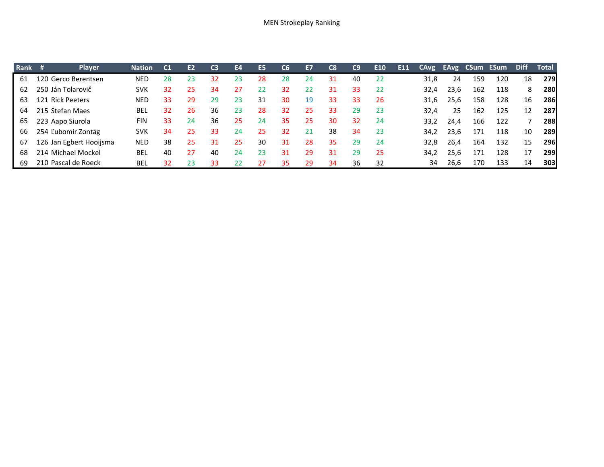| Rank # | <b>Player</b>           | <b>Nation</b> | C <sub>1</sub> | E <sub>2</sub> | C <sub>3</sub> | E4 | E <sub>5</sub> | C6 | <b>E7</b> | C8  | C9 | E <sub>10</sub> | E11 | CAvg |      | <b>EAvg CSum ESum</b> |     | <b>Diff</b> | Total      |
|--------|-------------------------|---------------|----------------|----------------|----------------|----|----------------|----|-----------|-----|----|-----------------|-----|------|------|-----------------------|-----|-------------|------------|
| 61     | 120 Gerco Berentsen     | NED           | 28             | 23             | 32             | 23 | 28             | 28 | 24        | 31  | 40 | 22              |     | 31,8 | 24   | 159                   | 120 | 18          | <b>279</b> |
| 62     | 250 Ján Tolarovič       | SVK           | 32             | 25             | 34             | 27 | 22             | 32 | 22        | 31  | 33 | -22             |     | 32,4 | 23,6 | 162                   | 118 | 8           | <b>280</b> |
| 63     | 121 Rick Peeters        | NED           | 33             | 29             | 29             | 23 | 31             | 30 | 19        | 33  | 33 | 26              |     | 31.6 | 25,6 | 158                   | 128 | 16          | <b>286</b> |
| 64     | 215 Stefan Maes         | BEL           | 32             | 26             | 36             | 23 | 28             | 32 | 25        | -33 | 29 | -23             |     | 32.4 | 25   | 162                   | 125 | 12          | <b>287</b> |
| 65     | 223 Aapo Siurola        | <b>FIN</b>    | 33             | 24             | 36             | 25 | 24             | 35 | 25        | 30  | 32 | 24              |     | 33.2 | 24,4 | 166                   | 122 |             | <b>288</b> |
| 66     | 254 Ľubomír Zontág      | <b>SVK</b>    | 34             | 25             | 33             | 24 | 25             | 32 | 21        | 38  | 34 | 23              |     | 34.2 | 23.6 | 171                   | 118 | 10          | <b>289</b> |
| 67     | 126 Jan Egbert Hooijsma | NED           | 38             | 25             | 31             | 25 | 30             | 31 | 28        | 35  | 29 | 24              |     | 32.8 | 26.4 | 164                   | 132 | 15          | <b>296</b> |
| 68     | 214 Michael Mockel      | BEL           | 40             | 27             | 40             | 24 | 23             | 31 | 29        | 31  | 29 | 25              |     | 34.2 | 25,6 | 171                   | 128 | 17          | <b>299</b> |
| 69     | 210 Pascal de Roeck     | <b>BEI</b>    | 32             | 23             | 33             | 22 | 27             | 35 | 29        | 34  | 36 | 32              |     | 34   | 26,6 | 170                   | 133 | 14          | <b>303</b> |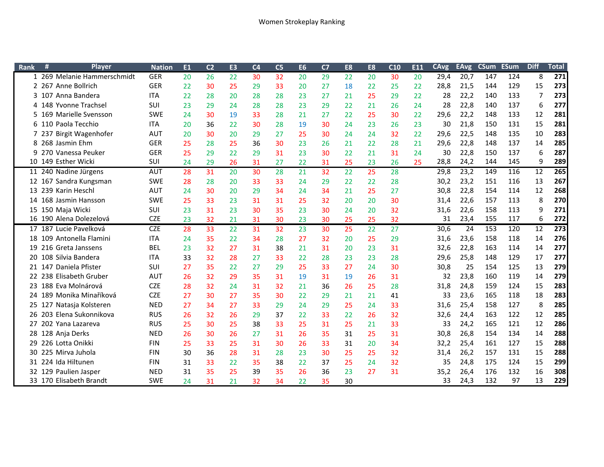| Rank | Ħ<br><b>Player</b>                | <b>Nation</b> | E <sub>1</sub> | C <sub>2</sub> | E <sub>3</sub> | C <sub>4</sub> | C <sub>5</sub> | <b>E6</b> | C <sub>7</sub> | E <sub>8</sub> | E8 | C10 | E11 | <b>CAvg</b> | <b>EAvg</b> | <b>CSum</b> | <b>ESum</b> | <b>Diff</b> | <b>Total</b> |
|------|-----------------------------------|---------------|----------------|----------------|----------------|----------------|----------------|-----------|----------------|----------------|----|-----|-----|-------------|-------------|-------------|-------------|-------------|--------------|
|      | 1 269 Melanie Hammerschmidt       | <b>GER</b>    | 20             | 26             | 22             | 30             | 32             | 20        | 29             | 22             | 20 | 30  | 20  | 29,4        | 20,7        | 147         | 124         | 8           | 271          |
|      | 2 267 Anne Bollrich               | <b>GER</b>    | 22             | 30             | 25             | 29             | 33             | 20        | 27             | 18             | 22 | 25  | 22  | 28,8        | 21,5        | 144         | 129         | 15          | 273          |
|      | 3 107 Anna Bandera                | <b>ITA</b>    | 22             | 28             | 20             | 28             | 28             | 23        | 27             | 21             | 25 | 29  | 22  | 28          | 22,2        | 140         | 133         | 7           | 273          |
|      | 4 148 Yvonne Trachsel             | SUI           | 23             | 29             | 24             | 28             | 28             | 23        | 29             | 22             | 21 | 26  | 24  | 28          | 22,8        | 140         | 137         | 6           | 277          |
|      | 169 Marielle Svensson             | <b>SWE</b>    | 24             | 30             | 19             | 33             | 28             | 21        | 27             | 22             | 25 | 30  | 22  | 29,6        | 22,2        | 148         | 133         | 12          | 281          |
|      | 6 110 Paola Tecchio               | <b>ITA</b>    | 20             | 36             | 22             | 30             | 28             | 19        | 30             | 24             | 23 | 26  | 23  | 30          | 21,8        | 150         | 131         | 15          | 281          |
|      | <b>Birgit Wagenhofer</b><br>7 237 | <b>AUT</b>    | 20             | 30             | 20             | 29             | 27             | 25        | 30             | 24             | 24 | 32  | 22  | 29,6        | 22,5        | 148         | 135         | 10          | 283          |
| 8    | 268 Jasmin Ehm                    | <b>GER</b>    | 25             | 28             | 25             | 36             | 30             | 23        | 26             | 21             | 22 | 28  | 21  | 29,6        | 22,8        | 148         | 137         | 14          | 285          |
| 9    | 270 Vanessa Peuker                | <b>GER</b>    | 25             | 29             | 22             | 29             | 31             | 23        | 30             | 22             | 21 | 31  | 24  | 30          | 22,8        | 150         | 137         | 6           | 287          |
|      | 10 149 Esther Wicki               | SUI           | 24             | 29             | 26             | 31             | 27             | 22        | 31             | 25             | 23 | 26  | 25  | 28,8        | 24,2        | 144         | 145         | 9           | 289          |
|      | 11 240 Nadine Jürgens             | <b>AUT</b>    | 28             | 31             | 20             | 30             | 28             | 21        | 32             | 22             | 25 | 28  |     | 29,8        | 23,2        | 149         | 116         | 12          | 265          |
|      | 12 167 Sandra Kungsman            | <b>SWE</b>    | 28             | 28             | 20             | 33             | 33             | 24        | 29             | 22             | 22 | 28  |     | 30,2        | 23,2        | 151         | 116         | 13          | 267          |
|      | 13 239 Karin Heschl               | <b>AUT</b>    | 24             | 30             | 20             | 29             | 34             | 24        | 34             | 21             | 25 | 27  |     | 30,8        | 22,8        | 154         | 114         | 12          | 268          |
|      | 14 168 Jasmin Hansson             | <b>SWE</b>    | 25             | 33             | 23             | 31             | 31             | 25        | 32             | 20             | 20 | 30  |     | 31,4        | 22,6        | 157         | 113         | 8           | 270          |
|      | 15 150 Maja Wicki                 | SUI           | 23             | 31             | 23             | 30             | 35             | 23        | 30             | 24             | 20 | 32  |     | 31,6        | 22,6        | 158         | 113         | 9           | 271          |
|      | 16 190 Alena Dolezelová           | <b>CZE</b>    | 23             | 32             | 21             | 31             | 30             | 23        | 30             | 25             | 25 | 32  |     | 31          | 23,4        | 155         | 117         | 6           | 272          |
|      | 17 187 Lucie Pavelková            | <b>CZE</b>    | 28             | 33             | 22             | 31             | 32             | 23        | 30             | 25             | 22 | 27  |     | 30,6        | 24          | 153         | 120         | 12          | 273          |
| 18   | 109 Antonella Flamini             | <b>ITA</b>    | 24             | 35             | 22             | 34             | 28             | 27        | 32             | 20             | 25 | 29  |     | 31,6        | 23,6        | 158         | 118         | 14          | 276          |
| 19   | 216 Greta Janssens                | <b>BEL</b>    | 23             | 32             | 27             | 31             | 38             | 21        | 31             | 20             | 23 | 31  |     | 32,6        | 22,8        | 163         | 114         | 14          | 277          |
| 20   | 108 Silvia Bandera                | <b>ITA</b>    | 33             | 32             | 28             | 27             | 33             | 22        | 28             | 23             | 23 | 28  |     | 29,6        | 25,8        | 148         | 129         | 17          | 277          |
| 21   | 147 Daniela Pfister               | SUI           | 27             | 35             | 22             | 27             | 29             | 25        | 33             | 27             | 24 | 30  |     | 30,8        | 25          | 154         | 125         | 13          | 279          |
|      | 22 238 Elisabeth Gruber           | <b>AUT</b>    | 26             | 32             | 29             | 35             | 31             | 19        | 31             | 19             | 26 | 31  |     | 32          | 23,8        | 160         | 119         | 14          | 279          |
|      | 23 188 Eva Molnárová              | <b>CZE</b>    | 28             | 32             | 24             | 31             | 32             | 21        | 36             | 26             | 25 | 28  |     | 31,8        | 24,8        | 159         | 124         | 15          | 283          |
|      | 24 189 Monika Minaříková          | <b>CZE</b>    | 27             | 30             | 27             | 35             | 30             | 22        | 29             | 21             | 21 | 41  |     | 33          | 23,6        | 165         | 118         | 18          | 283          |
|      | 25 127 Natasja Kolsteren          | <b>NED</b>    | 27             | 34             | 27             | 33             | 29             | 24        | 29             | 25             | 24 | 33  |     | 31,6        | 25,4        | 158         | 127         | 8           | 285          |
| 26   | 203 Elena Sukonnikova             | <b>RUS</b>    | 26             | 32             | 26             | 29             | 37             | 22        | 33             | 22             | 26 | 32  |     | 32,6        | 24,4        | 163         | 122         | 12          | 285          |
|      | 202 Yana Lazareva                 | <b>RUS</b>    | 25             | 30             | 25             | 38             | 33             | 25        | 31             | 25             | 21 | 33  |     | 33          | 24,2        | 165         | 121         | 12          | 286          |
|      | 28 128 Anja Derks                 | <b>NED</b>    | 26             | 30             | 26             | 27             | 31             | 26        | 35             | 31             | 25 | 31  |     | 30,8        | 26,8        | 154         | 134         | 14          | 288          |
| 29   | 226 Lotta Onikki                  | <b>FIN</b>    | 25             | 33             | 25             | 31             | 30             | 26        | 33             | 31             | 20 | 34  |     | 32,2        | 25,4        | 161         | 127         | 15          | 288          |
| 30   | 225 Mirva Juhola                  | <b>FIN</b>    | 30             | 36             | 28             | 31             | 28             | 23        | 30             | 25             | 25 | 32  |     | 31,4        | 26,2        | 157         | 131         | 15          | 288          |
| 31   | 224 Ida Hiltunen                  | <b>FIN</b>    | 31             | 33             | 22             | 35             | 38             | 22        | 37             | 25             | 24 | 32  |     | 35          | 24,8        | 175         | 124         | 15          | 299          |
|      | 32 129 Paulien Jasper             | <b>NED</b>    | 31             | 35             | 25             | 39             | 35             | 26        | 36             | 23             | 27 | 31  |     | 35,2        | 26,4        | 176         | 132         | 16          | 308          |
|      | 33 170 Elisabeth Brandt           | <b>SWE</b>    | 24             | 31             | 21             | 32             | 34             | 22        | 35             | 30             |    |     |     | 33          | 24,3        | 132         | 97          | 13          | 229          |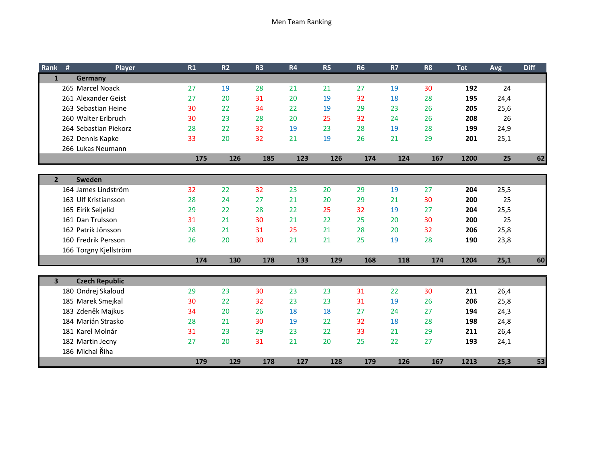| Rank           | #<br>Player           | R1  | R <sub>2</sub> | R <sub>3</sub> | R4  | <b>R5</b> | <b>R6</b> | <b>R7</b> | R <sub>8</sub> | <b>Tot</b> | Avg  | <b>Diff</b> |
|----------------|-----------------------|-----|----------------|----------------|-----|-----------|-----------|-----------|----------------|------------|------|-------------|
| $\mathbf{1}$   | Germany               |     |                |                |     |           |           |           |                |            |      |             |
|                | 265 Marcel Noack      | 27  | 19             | 28             | 21  | 21        | 27        | 19        | 30             | 192        | 24   |             |
|                | 261 Alexander Geist   | 27  | 20             | 31             | 20  | 19        | 32        | 18        | 28             | 195        | 24,4 |             |
|                | 263 Sebastian Heine   | 30  | 22             | 34             | 22  | 19        | 29        | 23        | 26             | 205        | 25,6 |             |
|                | 260 Walter Erlbruch   | 30  | 23             | 28             | 20  | 25        | 32        | 24        | 26             | 208        | 26   |             |
|                | 264 Sebastian Piekorz | 28  | 22             | 32             | 19  | 23        | 28        | 19        | 28             | 199        | 24,9 |             |
|                | 262 Dennis Kapke      | 33  | 20             | 32             | 21  | 19        | 26        | 21        | 29             | 201        | 25,1 |             |
|                | 266 Lukas Neumann     |     |                |                |     |           |           |           |                |            |      |             |
|                |                       | 175 | 126            | 185            | 123 | 126       | 174       | 124       | 167            | 1200       | 25   | 62          |
|                |                       |     |                |                |     |           |           |           |                |            |      |             |
| 2 <sup>1</sup> | Sweden                |     |                |                |     |           |           |           |                |            |      |             |
|                | 164 James Lindström   | 32  | 22             | 32             | 23  | 20        | 29        | 19        | 27             | 204        | 25,5 |             |
|                | 163 Ulf Kristiansson  | 28  | 24             | 27             | 21  | 20        | 29        | 21        | 30             | 200        | 25   |             |
|                | 165 Eirik Seljelid    | 29  | 22             | 28             | 22  | 25        | 32        | 19        | 27             | 204        | 25,5 |             |
|                | 161 Dan Trulsson      | 31  | 21             | 30             | 21  | 22        | 25        | 20        | 30             | 200        | 25   |             |
|                | 162 Patrik Jönsson    | 28  | 21             | 31             | 25  | 21        | 28        | 20        | 32             | 206        | 25,8 |             |
|                | 160 Fredrik Persson   | 26  | 20             | 30             | 21  | 21        | 25        | 19        | 28             | 190        | 23,8 |             |
|                | 166 Torgny Kjellström |     |                |                |     |           |           |           |                |            |      |             |
|                |                       | 174 | 130            | 178            | 133 | 129       | 168       | 118       | 174            | 1204       | 25,1 | 60          |
|                |                       |     |                |                |     |           |           |           |                |            |      |             |
| 3 <sup>1</sup> | <b>Czech Republic</b> |     |                |                |     |           |           |           |                |            |      |             |
|                | 180 Ondrej Skaloud    | 29  | 23             | 30             | 23  | 23        | 31        | 22        | 30             | 211        | 26,4 |             |
|                | 185 Marek Smejkal     | 30  | 22             | 32             | 23  | 23        | 31        | 19        | 26             | 206        | 25,8 |             |
|                | 183 Zdeněk Majkus     | 34  | 20             | 26             | 18  | 18        | 27        | 24        | 27             | 194        | 24,3 |             |
|                | 184 Marián Strasko    | 28  | 21             | 30             | 19  | 22        | 32        | 18        | 28             | 198        | 24,8 |             |
|                | 181 Karel Molnár      | 31  | 23             | 29             | 23  | 22        | 33        | 21        | 29             | 211        | 26,4 |             |
|                | 182 Martin Jecny      | 27  | 20             | 31             | 21  | 20        | 25        | 22        | 27             | 193        | 24,1 |             |
|                | 186 Michal Říha       |     |                |                |     |           |           |           |                |            |      |             |
|                |                       | 179 | 129            | 178            | 127 | 128       | 179       | 126       | 167            | 1213       | 25,3 | 53          |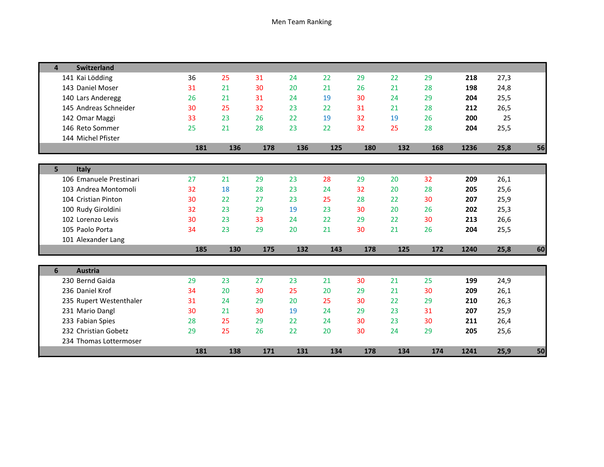| <b>Switzerland</b><br>$\mathbf{a}$ |     |     |     |     |     |     |     |     |      |      |    |
|------------------------------------|-----|-----|-----|-----|-----|-----|-----|-----|------|------|----|
| 141 Kai Lödding                    | 36  | 25  | 31  | 24  | 22  | 29  | 22  | 29  | 218  | 27,3 |    |
| 143 Daniel Moser                   | 31  | 21  | 30  | 20  | 21  | 26  | 21  | 28  | 198  | 24,8 |    |
| 140 Lars Anderegg                  | 26  | 21  | 31  | 24  | 19  | 30  | 24  | 29  | 204  | 25,5 |    |
| 145 Andreas Schneider              | 30  | 25  | 32  | 23  | 22  | 31  | 21  | 28  | 212  | 26,5 |    |
| 142 Omar Maggi                     | 33  | 23  | 26  | 22  | 19  | 32  | 19  | 26  | 200  | 25   |    |
| 146 Reto Sommer                    | 25  | 21  | 28  | 23  | 22  | 32  | 25  | 28  | 204  | 25,5 |    |
| 144 Michel Pfister                 |     |     |     |     |     |     |     |     |      |      |    |
|                                    | 181 | 136 | 178 | 136 | 125 | 180 | 132 | 168 | 1236 | 25,8 | 56 |
|                                    |     |     |     |     |     |     |     |     |      |      |    |
| 5 <sup>1</sup><br>Italy            |     |     |     |     |     |     |     |     |      |      |    |
| 106 Emanuele Prestinari            | 27  | 21  | 29  | 23  | 28  | 29  | 20  | 32  | 209  | 26,1 |    |
| 103 Andrea Montomoli               | 32  | 18  | 28  | 23  | 24  | 32  | 20  | 28  | 205  | 25,6 |    |
| 104 Cristian Pinton                | 30  | 22  | 27  | 23  | 25  | 28  | 22  | 30  | 207  | 25,9 |    |
| 100 Rudy Giroldini                 | 32  | 23  | 29  | 19  | 23  | 30  | 20  | 26  | 202  | 25,3 |    |
| 102 Lorenzo Levis                  | 30  | 23  | 33  | 24  | 22  | 29  | 22  | 30  | 213  | 26,6 |    |
| 105 Paolo Porta                    | 34  | 23  | 29  | 20  | 21  | 30  | 21  | 26  | 204  | 25,5 |    |
| 101 Alexander Lang                 |     |     |     |     |     |     |     |     |      |      |    |
|                                    | 185 | 130 | 175 | 132 | 143 | 178 | 125 | 172 | 1240 | 25,8 | 60 |
|                                    |     |     |     |     |     |     |     |     |      |      |    |
| <b>Austria</b><br>6                |     |     |     |     |     |     |     |     |      |      |    |
| 230 Bernd Gaida                    | 29  | 23  | 27  | 23  | 21  | 30  | 21  | 25  | 199  | 24,9 |    |
| 236 Daniel Krof                    | 34  | 20  | 30  | 25  | 20  | 29  | 21  | 30  | 209  | 26,1 |    |
| 235 Rupert Westenthaler            | 31  | 24  | 29  | 20  | 25  | 30  | 22  | 29  | 210  | 26,3 |    |
| 231 Mario Dangl                    | 30  | 21  | 30  | 19  | 24  | 29  | 23  | 31  | 207  | 25,9 |    |
| 233 Fabian Spies                   | 28  | 25  | 29  | 22  | 24  | 30  | 23  | 30  | 211  | 26,4 |    |
| 232 Christian Gobetz               | 29  | 25  | 26  | 22  | 20  | 30  | 24  | 29  | 205  | 25,6 |    |
| 234 Thomas Lottermoser             |     |     |     |     |     |     |     |     |      |      |    |
|                                    | 181 | 138 | 171 | 131 | 134 | 178 | 134 | 174 | 1241 | 25,9 | 50 |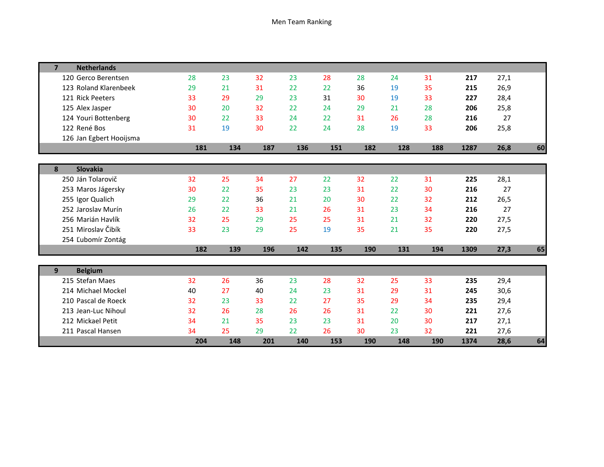| <b>Netherlands</b><br>7 |     |     |     |     |     |     |     |     |      |      |    |
|-------------------------|-----|-----|-----|-----|-----|-----|-----|-----|------|------|----|
| 120 Gerco Berentsen     | 28  | 23  | 32  | 23  | 28  | 28  | 24  | 31  | 217  | 27,1 |    |
| 123 Roland Klarenbeek   | 29  | 21  | 31  | 22  | 22  | 36  | 19  | 35  | 215  | 26,9 |    |
| 121 Rick Peeters        | 33  | 29  | 29  | 23  | 31  | 30  | 19  | 33  | 227  | 28,4 |    |
| 125 Alex Jasper         | 30  | 20  | 32  | 22  | 24  | 29  | 21  | 28  | 206  | 25,8 |    |
| 124 Youri Bottenberg    | 30  | 22  | 33  | 24  | 22  | 31  | 26  | 28  | 216  | 27   |    |
| 122 René Bos            | 31  | 19  | 30  | 22  | 24  | 28  | 19  | 33  | 206  | 25,8 |    |
| 126 Jan Egbert Hooijsma |     |     |     |     |     |     |     |     |      |      |    |
|                         | 181 | 134 | 187 | 136 | 151 | 182 | 128 | 188 | 1287 | 26,8 | 60 |
|                         |     |     |     |     |     |     |     |     |      |      |    |
| Slovakia<br>8           |     |     |     |     |     |     |     |     |      |      |    |
| 250 Ján Tolarovič       | 32  | 25  | 34  | 27  | 22  | 32  | 22  | 31  | 225  | 28,1 |    |
| 253 Maros Jágersky      | 30  | 22  | 35  | 23  | 23  | 31  | 22  | 30  | 216  | 27   |    |
| 255 Igor Qualich        | 29  | 22  | 36  | 21  | 20  | 30  | 22  | 32  | 212  | 26,5 |    |
| 252 Jaroslav Murín      | 26  | 22  | 33  | 21  | 26  | 31  | 23  | 34  | 216  | 27   |    |
| 256 Marián Havlík       | 32  | 25  | 29  | 25  | 25  | 31  | 21  | 32  | 220  | 27,5 |    |
| 251 Miroslav Čibík      | 33  | 23  | 29  | 25  | 19  | 35  | 21  | 35  | 220  | 27,5 |    |
| 254 Ľubomír Zontág      |     |     |     |     |     |     |     |     |      |      |    |
|                         | 182 | 139 | 196 | 142 | 135 | 190 | 131 | 194 | 1309 | 27,3 | 65 |
|                         |     |     |     |     |     |     |     |     |      |      |    |
| <b>Belgium</b><br>9     |     |     |     |     |     |     |     |     |      |      |    |
| 215 Stefan Maes         | 32  | 26  | 36  | 23  | 28  | 32  | 25  | 33  | 235  | 29,4 |    |
| 214 Michael Mockel      | 40  | 27  | 40  | 24  | 23  | 31  | 29  | 31  | 245  | 30,6 |    |
| 210 Pascal de Roeck     | 32  | 23  | 33  | 22  | 27  | 35  | 29  | 34  | 235  | 29,4 |    |
| 213 Jean-Luc Nihoul     | 32  | 26  | 28  | 26  | 26  | 31  | 22  | 30  | 221  | 27,6 |    |
| 212 Mickael Petit       | 34  | 21  | 35  | 23  | 23  | 31  | 20  | 30  | 217  | 27,1 |    |
| 211 Pascal Hansen       | 34  | 25  | 29  | 22  | 26  | 30  | 23  | 32  | 221  | 27,6 |    |
|                         | 204 | 148 | 201 | 140 | 153 | 190 | 148 | 190 | 1374 | 28,6 | 64 |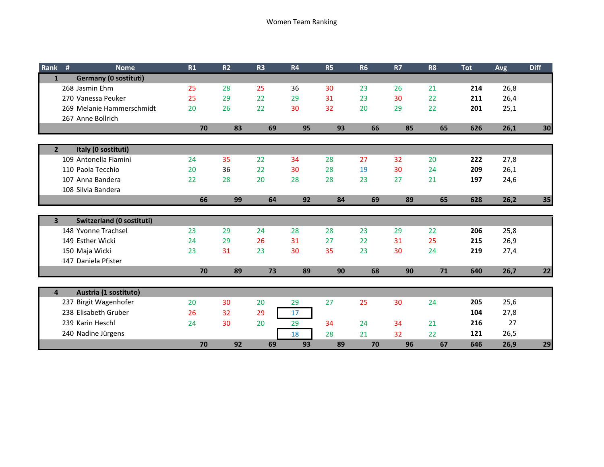| Rank           | #<br><b>Nome</b>             | R1 | R <sub>2</sub> | R <sub>3</sub> | R4 | <b>R5</b> | R <sub>6</sub> | <b>R7</b> | R <sub>8</sub> | <b>Tot</b> | <b>Avg</b> | <b>Diff</b> |
|----------------|------------------------------|----|----------------|----------------|----|-----------|----------------|-----------|----------------|------------|------------|-------------|
| $\mathbf{1}$   | <b>Germany (0 sostituti)</b> |    |                |                |    |           |                |           |                |            |            |             |
|                | 268 Jasmin Ehm               | 25 | 28             | 25             | 36 | 30        | 23             | 26        | 21             | 214        | 26,8       |             |
|                | 270 Vanessa Peuker           | 25 | 29             | 22             | 29 | 31        | 23             | 30        | 22             | 211        | 26,4       |             |
|                | 269 Melanie Hammerschmidt    | 20 | 26             | 22             | 30 | 32        | 20             | 29        | 22             | 201        | 25,1       |             |
|                | 267 Anne Bollrich            |    |                |                |    |           |                |           |                |            |            |             |
|                |                              | 70 | 83             | 69             | 95 | 93        | 66             | 85        | 65             | 626        | 26,1       | 30          |
|                |                              |    |                |                |    |           |                |           |                |            |            |             |
| $2^{\circ}$    | Italy (0 sostituti)          |    |                |                |    |           |                |           |                |            |            |             |
|                | 109 Antonella Flamini        | 24 | 35             | 22             | 34 | 28        | 27             | 32        | 20             | 222        | 27,8       |             |
|                | 110 Paola Tecchio            | 20 | 36             | 22             | 30 | 28        | 19             | 30        | 24             | 209        | 26,1       |             |
|                | 107 Anna Bandera             | 22 | 28             | 20             | 28 | 28        | 23             | 27        | 21             | 197        | 24,6       |             |
|                | 108 Silvia Bandera           |    |                |                |    |           |                |           |                |            |            |             |
|                |                              | 66 | 99             | 64             | 92 | 84        | 69             | 89        | 65             | 628        | 26,2       | 35          |
|                |                              |    |                |                |    |           |                |           |                |            |            |             |
| $\mathbf{3}$   | Switzerland (0 sostituti)    |    |                |                |    |           |                |           |                |            |            |             |
|                | 148 Yvonne Trachsel          | 23 | 29             | 24             | 28 | 28        | 23             | 29        | 22             | 206        | 25,8       |             |
|                | 149 Esther Wicki             | 24 | 29             | 26             | 31 | 27        | 22             | 31        | 25             | 215        | 26,9       |             |
|                | 150 Maja Wicki               | 23 | 31             | 23             | 30 | 35        | 23             | 30        | 24             | 219        | 27,4       |             |
|                | 147 Daniela Pfister          |    |                |                |    |           |                |           |                |            |            |             |
|                |                              | 70 | 89             | 73             | 89 | 90        | 68             | 90        | 71             | 640        | 26,7       | 22          |
|                |                              |    |                |                |    |           |                |           |                |            |            |             |
| $\overline{4}$ | Austria (1 sostituto)        |    |                |                |    |           |                |           |                |            |            |             |
|                | 237 Birgit Wagenhofer        | 20 | 30             | 20             | 29 | 27        | 25             | 30        | 24             | 205        | 25,6       |             |
|                | 238 Elisabeth Gruber         | 26 | 32             | 29             | 17 |           |                |           |                | 104        | 27,8       |             |
|                | 239 Karin Heschl             | 24 | 30             | 20             | 29 | 34        | 24             | 34        | 21             | 216        | 27         |             |
|                | 240 Nadine Jürgens           |    |                |                | 18 | 28        | 21             | 32        | 22             | 121        | 26,5       |             |
|                |                              | 70 | 92             | 69             | 93 | 89        | 70             | 96        | 67             | 646        | 26,9       | 29          |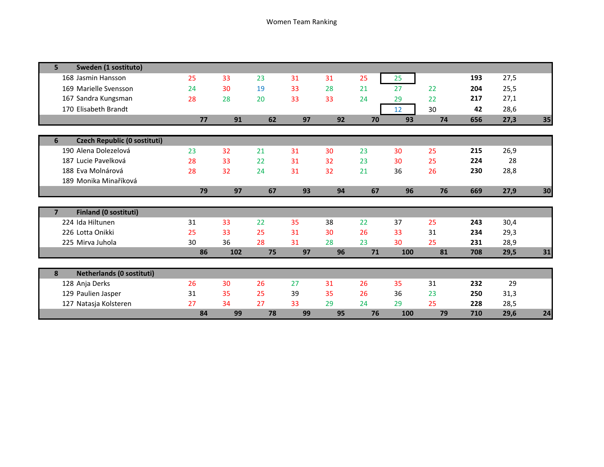| Sweden (1 sostituto)<br>5                      |    |     |    |    |    |    |     |    |     |      |    |
|------------------------------------------------|----|-----|----|----|----|----|-----|----|-----|------|----|
| 168 Jasmin Hansson                             | 25 | 33  | 23 | 31 | 31 | 25 | 25  |    | 193 | 27,5 |    |
| 169 Marielle Svensson                          | 24 | 30  | 19 | 33 | 28 | 21 | 27  | 22 | 204 | 25,5 |    |
| 167 Sandra Kungsman                            | 28 | 28  | 20 | 33 | 33 | 24 | 29  | 22 | 217 | 27,1 |    |
| 170 Elisabeth Brandt                           |    |     |    |    |    |    | 12  | 30 | 42  | 28,6 |    |
|                                                | 77 | 91  | 62 | 97 | 92 | 70 | 93  | 74 | 656 | 27,3 | 35 |
|                                                |    |     |    |    |    |    |     |    |     |      |    |
| <b>Czech Republic (0 sostituti)</b><br>6       |    |     |    |    |    |    |     |    |     |      |    |
| 190 Alena Dolezelová                           | 23 | 32  | 21 | 31 | 30 | 23 | 30  | 25 | 215 | 26,9 |    |
| 187 Lucie Pavelková                            | 28 | 33  | 22 | 31 | 32 | 23 | 30  | 25 | 224 | 28   |    |
| 188 Eva Molnárová                              | 28 | 32  | 24 | 31 | 32 | 21 | 36  | 26 | 230 | 28,8 |    |
| 189 Monika Minaříková                          |    |     |    |    |    |    |     |    |     |      |    |
|                                                | 79 | 97  | 67 | 93 | 94 | 67 | 96  | 76 | 669 | 27,9 | 30 |
|                                                |    |     |    |    |    |    |     |    |     |      |    |
| <b>Finland (0 sostituti)</b><br>$\overline{7}$ |    |     |    |    |    |    |     |    |     |      |    |
| 224 Ida Hiltunen                               | 31 | 33  | 22 | 35 | 38 | 22 | 37  | 25 | 243 | 30,4 |    |
| 226 Lotta Onikki                               | 25 | 33  | 25 | 31 | 30 | 26 | 33  | 31 | 234 | 29,3 |    |
| 225 Mirva Juhola                               | 30 | 36  | 28 | 31 | 28 | 23 | 30  | 25 | 231 | 28,9 |    |
|                                                | 86 | 102 | 75 | 97 | 96 | 71 | 100 | 81 | 708 | 29,5 | 31 |
|                                                |    |     |    |    |    |    |     |    |     |      |    |
| <b>Netherlands (0 sostituti)</b><br>8          |    |     |    |    |    |    |     |    |     |      |    |
| 128 Anja Derks                                 | 26 | 30  | 26 | 27 | 31 | 26 | 35  | 31 | 232 | 29   |    |
| 129 Paulien Jasper                             | 31 | 35  | 25 | 39 | 35 | 26 | 36  | 23 | 250 | 31,3 |    |
| 127 Natasja Kolsteren                          | 27 | 34  | 27 | 33 | 29 | 24 | 29  | 25 | 228 | 28,5 |    |
|                                                | 84 | 99  | 78 | 99 | 95 | 76 | 100 | 79 | 710 | 29,6 | 24 |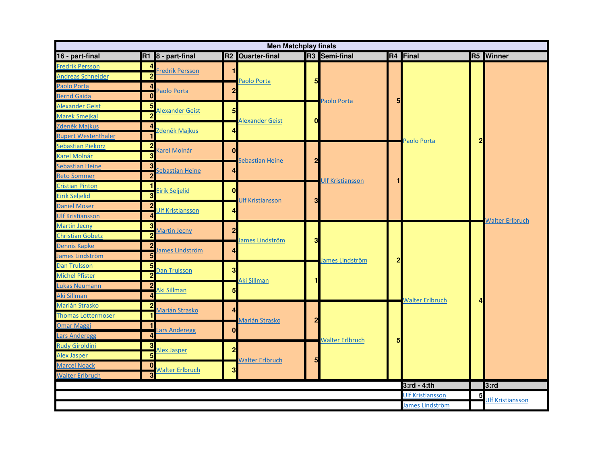|                            |                         |                         |                 | <b>Men Matchplay finals</b>  |                         |                        |                |                         |                         |                         |
|----------------------------|-------------------------|-------------------------|-----------------|------------------------------|-------------------------|------------------------|----------------|-------------------------|-------------------------|-------------------------|
| 16 - part-final            |                         | R1 8 - part-final       |                 | R <sub>2</sub> Quarter-final |                         | R3 Semi-final          |                | R <sub>4</sub> Final    |                         | <b>R5</b> Winner        |
| Fredrik Persson            | 4                       | Fredrik Persson         |                 |                              |                         |                        |                |                         |                         |                         |
| <b>Andreas Schneider</b>   | $\overline{2}$          |                         |                 | Paolo Porta                  | 5                       |                        |                |                         |                         |                         |
| Paolo Porta                | 4                       | Paolo Porta             | $\overline{2}$  |                              |                         |                        |                |                         |                         |                         |
| <b>Bernd Gaida</b>         | $\bf{0}$                |                         |                 |                              |                         | Paolo Porta            |                |                         |                         |                         |
| Alexander Geist            | 5                       | Alexander Geist         | $5\overline{5}$ |                              |                         |                        |                |                         |                         |                         |
| Marek Smejkal              | $\overline{2}$          |                         |                 | <b>Alexander Geist</b>       | $\mathbf 0$             |                        |                |                         |                         |                         |
| Zdeněk Majkus              | 4                       | Zdeněk Majkus           | Δ               |                              |                         |                        |                |                         |                         |                         |
| <b>Rupert Westenthaler</b> | $\blacksquare$          |                         |                 |                              |                         |                        |                | Paolo Porta             | $\overline{\mathbf{2}}$ |                         |
| Sebastian Piekorz          | $\overline{2}$          | Karel Molnár            | $\mathbf{0}$    |                              |                         |                        |                |                         |                         |                         |
| <b>Karel Molnár</b>        | $\overline{\mathbf{3}}$ |                         |                 | Sebastian Heine              | $\overline{2}$          |                        |                |                         |                         |                         |
| Sebastian Heine            | 3                       | Sebastian Heine         | 4               |                              |                         |                        |                |                         |                         |                         |
| <b>Reto Sommer</b>         | $\overline{2}$          |                         |                 |                              |                         | Ulf Kristiansson       |                |                         |                         |                         |
| <b>Cristian Pinton</b>     | $\blacksquare$          | Eirik Seljelid          | $\mathbf{0}$    |                              |                         |                        |                |                         |                         |                         |
| Eirik Seljelid             | $\overline{\mathbf{3}}$ |                         |                 | <b>Ulf Kristiansson</b>      | 3                       |                        |                |                         |                         |                         |
| <b>Daniel Moser</b>        | $\overline{2}$          | <b>JIf Kristiansson</b> | Δ               |                              |                         |                        |                |                         |                         |                         |
| <b>Ulf Kristiansson</b>    | $\overline{4}$          |                         |                 |                              |                         |                        |                |                         |                         | <b>Walter Erlbruch</b>  |
| <b>Martin Jecny</b>        | $\overline{\mathbf{3}}$ | <b>Martin Jecny</b>     | $\overline{2}$  |                              |                         |                        |                |                         |                         |                         |
| <b>Christian Gobetz</b>    | $\overline{2}$          |                         |                 | lames Lindström              | 3                       |                        |                |                         |                         |                         |
| Dennis Kapke               | $\overline{2}$          | lames Lindström         | 4               |                              |                         |                        |                |                         |                         |                         |
| James Lindström            | $\overline{\mathbf{5}}$ |                         |                 |                              |                         | lames Lindström        | $\overline{2}$ |                         |                         |                         |
| Dan Trulsson               | 5                       | Dan Trulsson            | 3               |                              |                         |                        |                |                         |                         |                         |
| <b>Michel Pfister</b>      | $\overline{2}$          |                         |                 | Aki Sillman                  | 1                       |                        |                |                         |                         |                         |
| I<br>Lukas Neumann         | $\overline{2}$          | Aki Sillman             | 5               |                              |                         |                        |                |                         |                         |                         |
| Aki Sillman                | $\overline{4}$          |                         |                 |                              |                         |                        |                | <b>Walter Erlbruch</b>  | 4                       |                         |
| Marián Strasko             | $\overline{2}$          | <b>Marián Strasko</b>   | 4               |                              |                         |                        |                |                         |                         |                         |
| <b>Thomas Lottermoser</b>  | 1                       |                         |                 | Marián Strasko               | $\overline{\mathbf{c}}$ |                        |                |                         |                         |                         |
| <b>Omar Maggi</b>          | $\blacksquare$          | ars Anderegg            | $\mathbf{0}$    |                              |                         |                        |                |                         |                         |                         |
| <b>Lars Anderegg</b>       | 4                       |                         |                 |                              |                         | <b>Walter Erlbruch</b> | 5              |                         |                         |                         |
| <b>Rudy Giroldini</b>      | 3                       | Alex Jasper             | $\overline{2}$  |                              |                         |                        |                |                         |                         |                         |
| Alex Jasper                | $\overline{\mathbf{5}}$ |                         |                 | <b>Walter Erlbruch</b>       | $5\overline{5}$         |                        |                |                         |                         |                         |
| <b>Marcel Noack</b>        | $\bf{0}$                | <b>Walter Erlbruch</b>  | 3               |                              |                         |                        |                |                         |                         |                         |
| <b>Walter Erlbruch</b>     | 3                       |                         |                 |                              |                         |                        |                |                         |                         |                         |
|                            |                         |                         |                 |                              |                         |                        |                | $3:rd - 4:th$           |                         | 3:rd                    |
|                            |                         |                         |                 |                              |                         |                        |                | <b>Ulf Kristiansson</b> | 5                       | <b>Jlf Kristiansson</b> |
|                            |                         |                         |                 |                              |                         |                        |                | James Lindström         |                         |                         |